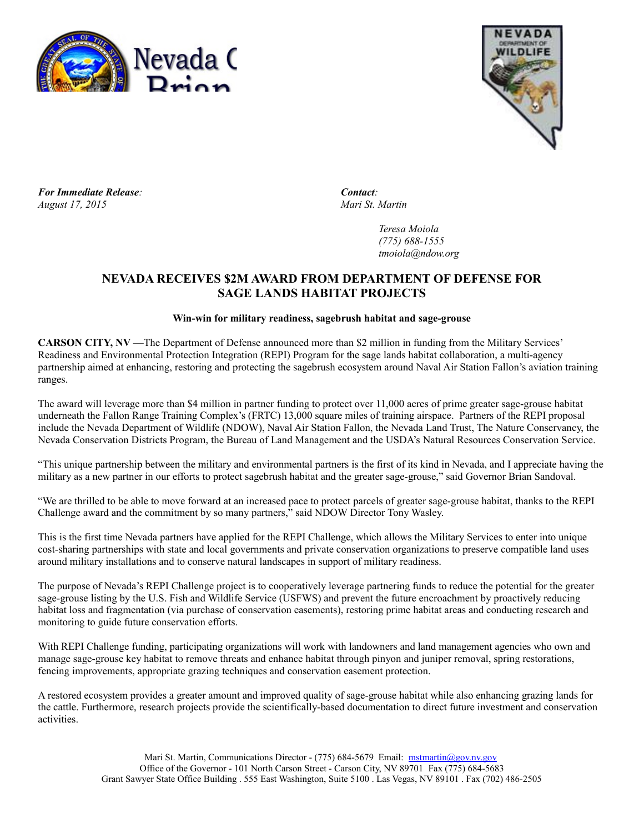



*For Immediate Release: Contact: August 17, 2015 Mari St. Martin*

*Teresa Moiola (775) 688-1555 tmoiola@ndow.org*

## **NEVADA RECEIVES \$2M AWARD FROM DEPARTMENT OF DEFENSE FOR SAGE LANDS HABITAT PROJECTS**

## **Win-win for military readiness, sagebrush habitat and sage-grouse**

**CARSON CITY, NV** —The Department of Defense announced more than \$2 million in funding from the Military Services' Readiness and Environmental Protection Integration (REPI) Program for the sage lands habitat collaboration, a multi-agency partnership aimed at enhancing, restoring and protecting the sagebrush ecosystem around Naval Air Station Fallon's aviation training ranges.

The award will leverage more than \$4 million in partner funding to protect over 11,000 acres of prime greater sage-grouse habitat underneath the Fallon Range Training Complex's (FRTC) 13,000 square miles of training airspace. Partners of the REPI proposal include the Nevada Department of Wildlife (NDOW), Naval Air Station Fallon, the Nevada Land Trust, The Nature Conservancy, the Nevada Conservation Districts Program, the Bureau of Land Management and the USDA's Natural Resources Conservation Service.

"This unique partnership between the military and environmental partners is the first of its kind in Nevada, and I appreciate having the military as a new partner in our efforts to protect sagebrush habitat and the greater sage-grouse," said Governor Brian Sandoval.

"We are thrilled to be able to move forward at an increased pace to protect parcels of greater sage-grouse habitat, thanks to the REPI Challenge award and the commitment by so many partners," said NDOW Director Tony Wasley.

This is the first time Nevada partners have applied for the REPI Challenge, which allows the Military Services to enter into unique cost-sharing partnerships with state and local governments and private conservation organizations to preserve compatible land uses around military installations and to conserve natural landscapes in support of military readiness.

The purpose of Nevada's REPI Challenge project is to cooperatively leverage partnering funds to reduce the potential for the greater sage-grouse listing by the U.S. Fish and Wildlife Service (USFWS) and prevent the future encroachment by proactively reducing habitat loss and fragmentation (via purchase of conservation easements), restoring prime habitat areas and conducting research and monitoring to guide future conservation efforts.

With REPI Challenge funding, participating organizations will work with landowners and land management agencies who own and manage sage-grouse key habitat to remove threats and enhance habitat through pinyon and juniper removal, spring restorations, fencing improvements, appropriate grazing techniques and conservation easement protection.

A restored ecosystem provides a greater amount and improved quality of sage-grouse habitat while also enhancing grazing lands for the cattle. Furthermore, research projects provide the scientifically-based documentation to direct future investment and conservation activities.